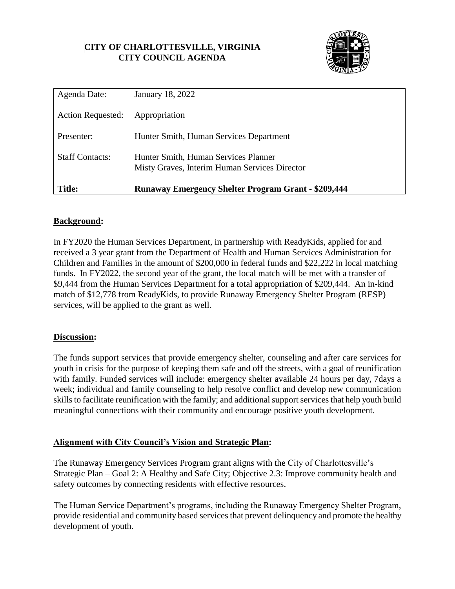# **CITY OF CHARLOTTESVILLE, VIRGINIA CITY COUNCIL AGENDA**



| Agenda Date:             | <b>January 18, 2022</b>                                                               |  |
|--------------------------|---------------------------------------------------------------------------------------|--|
| <b>Action Requested:</b> | Appropriation                                                                         |  |
| Presenter:               | Hunter Smith, Human Services Department                                               |  |
| <b>Staff Contacts:</b>   | Hunter Smith, Human Services Planner<br>Misty Graves, Interim Human Services Director |  |
| <b>Title:</b>            | <b>Runaway Emergency Shelter Program Grant - \$209,444</b>                            |  |

### **Background:**

In FY2020 the Human Services Department, in partnership with ReadyKids, applied for and received a 3 year grant from the Department of Health and Human Services Administration for Children and Families in the amount of \$200,000 in federal funds and \$22,222 in local matching funds. In FY2022, the second year of the grant, the local match will be met with a transfer of \$9,444 from the Human Services Department for a total appropriation of \$209,444. An in-kind match of \$12,778 from ReadyKids, to provide Runaway Emergency Shelter Program (RESP) services, will be applied to the grant as well.

### **Discussion:**

The funds support services that provide emergency shelter, counseling and after care services for youth in crisis for the purpose of keeping them safe and off the streets, with a goal of reunification with family. Funded services will include: emergency shelter available 24 hours per day, 7days a week; individual and family counseling to help resolve conflict and develop new communication skills to facilitate reunification with the family; and additional support services that help youth build meaningful connections with their community and encourage positive youth development.

### **Alignment with City Council's Vision and Strategic Plan:**

The Runaway Emergency Services Program grant aligns with the City of Charlottesville's Strategic Plan – Goal 2: A Healthy and Safe City; Objective 2.3: Improve community health and safety outcomes by connecting residents with effective resources.

The Human Service Department's programs, including the Runaway Emergency Shelter Program, provide residential and community based services that prevent delinquency and promote the healthy development of youth.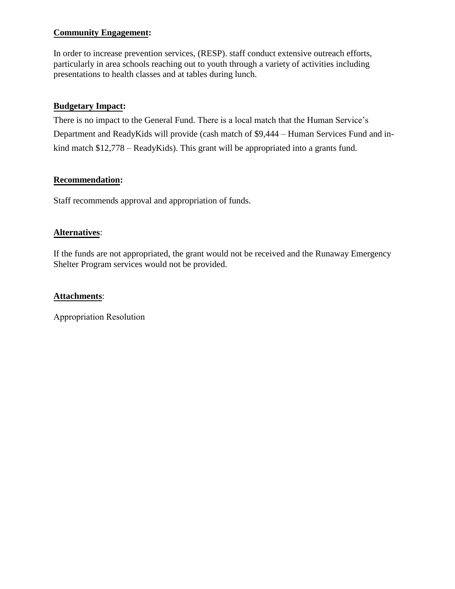## **Community Engagement:**

In order to increase prevention services, (RESP). staff conduct extensive outreach efforts, particularly in area schools reaching out to youth through a variety of activities including presentations to health classes and at tables during lunch.

## **Budgetary Impact:**

There is no impact to the General Fund. There is a local match that the Human Service's Department and ReadyKids will provide (cash match of \$9,444 – Human Services Fund and inkind match \$12,778 – ReadyKids). This grant will be appropriated into a grants fund.

### **Recommendation:**

Staff recommends approval and appropriation of funds.

## **Alternatives**:

If the funds are not appropriated, the grant would not be received and the Runaway Emergency Shelter Program services would not be provided.

### **Attachments**:

Appropriation Resolution